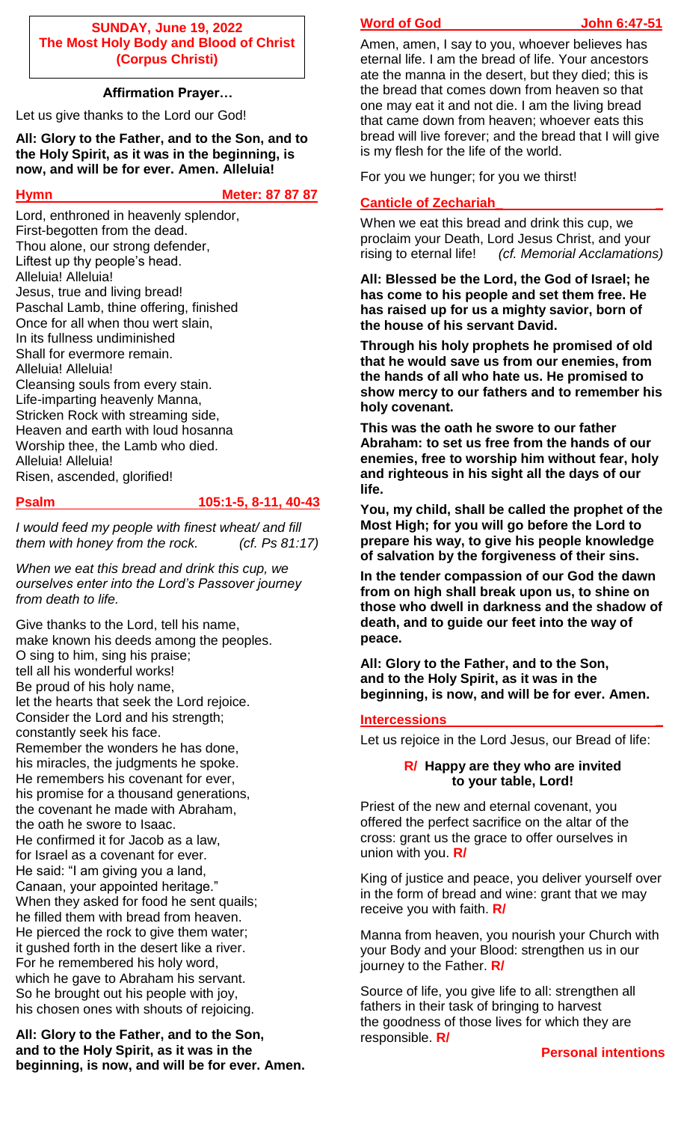## **SUNDAY, June 19, 2022 The Most Holy Body and Blood of Christ (Corpus Christi)**

## **Affirmation Prayer…**

Let us give thanks to the Lord our God!

**All: Glory to the Father, and to the Son, and to the Holy Spirit, as it was in the beginning, is now, and will be for ever. Amen. Alleluia!**

## **Hymn** Meter: 87 87 87

Lord, enthroned in heavenly splendor, First-begotten from the dead. Thou alone, our strong defender, Liftest up thy people's head. Alleluia! Alleluia! Jesus, true and living bread! Paschal Lamb, thine offering, finished Once for all when thou wert slain, In its fullness undiminished Shall for evermore remain. Alleluia! Alleluia! Cleansing souls from every stain. Life-imparting heavenly Manna, Stricken Rock with streaming side, Heaven and earth with loud hosanna Worship thee, the Lamb who died. Alleluia! Alleluia! Risen, ascended, glorified!

### **Psalm 105:1-5, 8-11, 40-43**

*I would feed my people with finest wheat/ and fill them with honey from the rock. (cf. Ps 81:17)*

*When we eat this bread and drink this cup, we ourselves enter into the Lord's Passover journey from death to life.*

Give thanks to the Lord, tell his name, make known his deeds among the peoples. O sing to him, sing his praise; tell all his wonderful works! Be proud of his holy name, let the hearts that seek the Lord rejoice. Consider the Lord and his strength; constantly seek his face. Remember the wonders he has done, his miracles, the judgments he spoke. He remembers his covenant for ever, his promise for a thousand generations, the covenant he made with Abraham, the oath he swore to Isaac. He confirmed it for Jacob as a law, for Israel as a covenant for ever. He said: "I am giving you a land, Canaan, your appointed heritage." When they asked for food he sent quails; he filled them with bread from heaven. He pierced the rock to give them water; it gushed forth in the desert like a river. For he remembered his holy word, which he gave to Abraham his servant. So he brought out his people with joy, his chosen ones with shouts of rejoicing.

**All: Glory to the Father, and to the Son, and to the Holy Spirit, as it was in the beginning, is now, and will be for ever. Amen.**

## **Word of God discussed John 6:47-51**

Amen, amen, I say to you, whoever believes has eternal life. I am the bread of life. Your ancestors ate the manna in the desert, but they died; this is the bread that comes down from heaven so that one may eat it and not die. I am the living bread that came down from heaven; whoever eats this bread will live forever; and the bread that I will give is my flesh for the life of the world.

For you we hunger; for you we thirst!

## **Canticle of Zechariah\_ \_**

When we eat this bread and drink this cup, we proclaim your Death, Lord Jesus Christ, and your rising to eternal life! *(cf. Memorial Acclamations)*

**All: Blessed be the Lord, the God of Israel; he has come to his people and set them free. He has raised up for us a mighty savior, born of the house of his servant David.**

**Through his holy prophets he promised of old that he would save us from our enemies, from the hands of all who hate us. He promised to show mercy to our fathers and to remember his holy covenant.**

**This was the oath he swore to our father Abraham: to set us free from the hands of our enemies, free to worship him without fear, holy and righteous in his sight all the days of our life.**

**You, my child, shall be called the prophet of the Most High; for you will go before the Lord to prepare his way, to give his people knowledge of salvation by the forgiveness of their sins.**

**In the tender compassion of our God the dawn from on high shall break upon us, to shine on those who dwell in darkness and the shadow of death, and to guide our feet into the way of peace.**

**All: Glory to the Father, and to the Son, and to the Holy Spirit, as it was in the beginning, is now, and will be for ever. Amen.**

### **Intercessions \_**

Let us rejoice in the Lord Jesus, our Bread of life:

### **R/ Happy are they who are invited to your table, Lord!**

Priest of the new and eternal covenant, you offered the perfect sacrifice on the altar of the cross: grant us the grace to offer ourselves in union with you. **R/**

King of justice and peace, you deliver yourself over in the form of bread and wine: grant that we may receive you with faith. **R/**

Manna from heaven, you nourish your Church with your Body and your Blood: strengthen us in our journey to the Father. **R/**

Source of life, you give life to all: strengthen all fathers in their task of bringing to harvest the goodness of those lives for which they are responsible. **R/**

**Personal intentions**